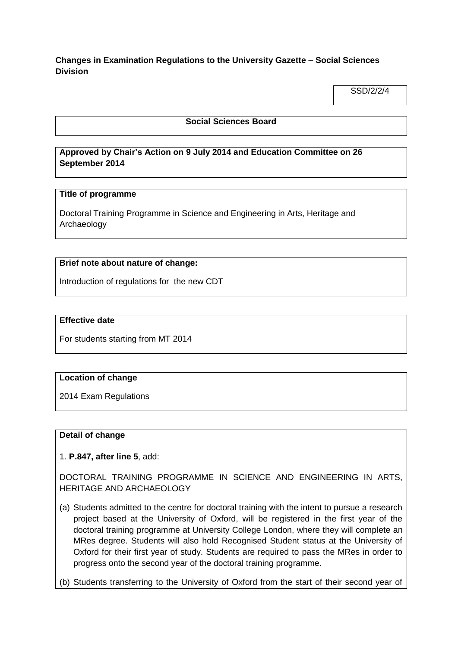**Changes in Examination Regulations to the University Gazette – Social Sciences Division**

SSD/2/2/4

## **Social Sciences Board**

## **Approved by Chair's Action on 9 July 2014 and Education Committee on 26 September 2014**

## **Title of programme**

Doctoral Training Programme in Science and Engineering in Arts, Heritage and Archaeology

## **Brief note about nature of change:**

Introduction of regulations for the new CDT

## **Effective date**

For students starting from MT 2014

## **Location of change**

2014 Exam Regulations

#### **Detail of change**

1. **P.847, after line 5**, add:

DOCTORAL TRAINING PROGRAMME IN SCIENCE AND ENGINEERING IN ARTS, HERITAGE AND ARCHAEOLOGY

(a) Students admitted to the centre for doctoral training with the intent to pursue a research project based at the University of Oxford, will be registered in the first year of the doctoral training programme at University College London, where they will complete an MRes degree. Students will also hold Recognised Student status at the University of Oxford for their first year of study. Students are required to pass the MRes in order to progress onto the second year of the doctoral training programme.

(b) Students transferring to the University of Oxford from the start of their second year of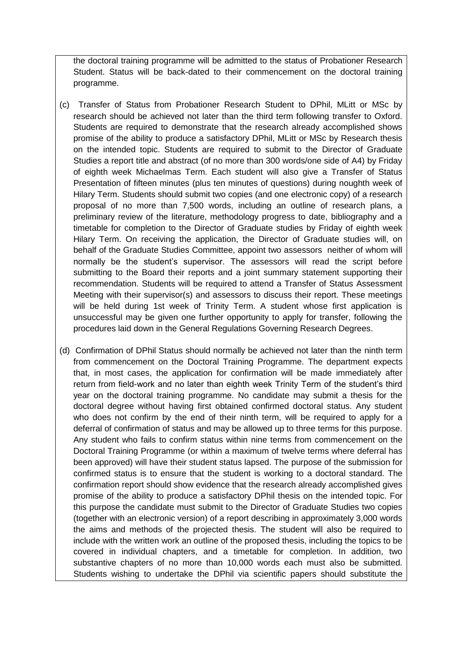the doctoral training programme will be admitted to the status of Probationer Research Student. Status will be back-dated to their commencement on the doctoral training programme.

- (c) Transfer of Status from Probationer Research Student to DPhil, MLitt or MSc by research should be achieved not later than the third term following transfer to Oxford. Students are required to demonstrate that the research already accomplished shows promise of the ability to produce a satisfactory DPhil, MLitt or MSc by Research thesis on the intended topic. Students are required to submit to the Director of Graduate Studies a report title and abstract (of no more than 300 words/one side of A4) by Friday of eighth week Michaelmas Term. Each student will also give a Transfer of Status Presentation of fifteen minutes (plus ten minutes of questions) during noughth week of Hilary Term. Students should submit two copies (and one electronic copy) of a research proposal of no more than 7,500 words, including an outline of research plans, a preliminary review of the literature, methodology progress to date, bibliography and a timetable for completion to the Director of Graduate studies by Friday of eighth week Hilary Term. On receiving the application, the Director of Graduate studies will, on behalf of the Graduate Studies Committee, appoint two assessors neither of whom will normally be the student's supervisor. The assessors will read the script before submitting to the Board their reports and a joint summary statement supporting their recommendation. Students will be required to attend a Transfer of Status Assessment Meeting with their supervisor(s) and assessors to discuss their report. These meetings will be held during 1st week of Trinity Term. A student whose first application is unsuccessful may be given one further opportunity to apply for transfer, following the procedures laid down in the General Regulations Governing Research Degrees.
- (d) Confirmation of DPhil Status should normally be achieved not later than the ninth term from commencement on the Doctoral Training Programme. The department expects that, in most cases, the application for confirmation will be made immediately after return from field-work and no later than eighth week Trinity Term of the student's third year on the doctoral training programme. No candidate may submit a thesis for the doctoral degree without having first obtained confirmed doctoral status. Any student who does not confirm by the end of their ninth term, will be required to apply for a deferral of confirmation of status and may be allowed up to three terms for this purpose. Any student who fails to confirm status within nine terms from commencement on the Doctoral Training Programme (or within a maximum of twelve terms where deferral has been approved) will have their student status lapsed. The purpose of the submission for confirmed status is to ensure that the student is working to a doctoral standard. The confirmation report should show evidence that the research already accomplished gives promise of the ability to produce a satisfactory DPhil thesis on the intended topic. For this purpose the candidate must submit to the Director of Graduate Studies two copies (together with an electronic version) of a report describing in approximately 3,000 words the aims and methods of the projected thesis. The student will also be required to include with the written work an outline of the proposed thesis, including the topics to be covered in individual chapters, and a timetable for completion. In addition, two substantive chapters of no more than 10,000 words each must also be submitted. Students wishing to undertake the DPhil via scientific papers should substitute the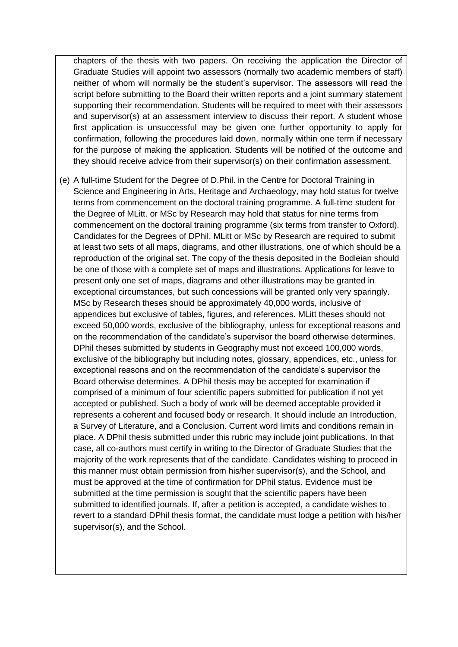chapters of the thesis with two papers. On receiving the application the Director of Graduate Studies will appoint two assessors (normally two academic members of staff) neither of whom will normally be the student's supervisor. The assessors will read the script before submitting to the Board their written reports and a joint summary statement supporting their recommendation. Students will be required to meet with their assessors and supervisor(s) at an assessment interview to discuss their report. A student whose first application is unsuccessful may be given one further opportunity to apply for confirmation, following the procedures laid down, normally within one term if necessary for the purpose of making the application. Students will be notified of the outcome and they should receive advice from their supervisor(s) on their confirmation assessment.

(e) A full-time Student for the Degree of D.Phil. in the Centre for Doctoral Training in Science and Engineering in Arts, Heritage and Archaeology, may hold status for twelve terms from commencement on the doctoral training programme. A full-time student for the Degree of MLitt. or MSc by Research may hold that status for nine terms from commencement on the doctoral training programme (six terms from transfer to Oxford). Candidates for the Degrees of DPhil, MLitt or MSc by Research are required to submit at least two sets of all maps, diagrams, and other illustrations, one of which should be a reproduction of the original set. The copy of the thesis deposited in the Bodleian should be one of those with a complete set of maps and illustrations. Applications for leave to present only one set of maps, diagrams and other illustrations may be granted in exceptional circumstances, but such concessions will be granted only very sparingly. MSc by Research theses should be approximately 40,000 words, inclusive of appendices but exclusive of tables, figures, and references. MLitt theses should not exceed 50,000 words, exclusive of the bibliography, unless for exceptional reasons and on the recommendation of the candidate's supervisor the board otherwise determines. DPhil theses submitted by students in Geography must not exceed 100,000 words, exclusive of the bibliography but including notes, glossary, appendices, etc., unless for exceptional reasons and on the recommendation of the candidate's supervisor the Board otherwise determines. A DPhil thesis may be accepted for examination if comprised of a minimum of four scientific papers submitted for publication if not yet accepted or published. Such a body of work will be deemed acceptable provided it represents a coherent and focused body or research. It should include an Introduction, a Survey of Literature, and a Conclusion. Current word limits and conditions remain in place. A DPhil thesis submitted under this rubric may include joint publications. In that case, all co-authors must certify in writing to the Director of Graduate Studies that the majority of the work represents that of the candidate. Candidates wishing to proceed in this manner must obtain permission from his/her supervisor(s), and the School, and must be approved at the time of confirmation for DPhil status. Evidence must be submitted at the time permission is sought that the scientific papers have been submitted to identified journals. If, after a petition is accepted, a candidate wishes to revert to a standard DPhil thesis format, the candidate must lodge a petition with his/her supervisor(s), and the School.